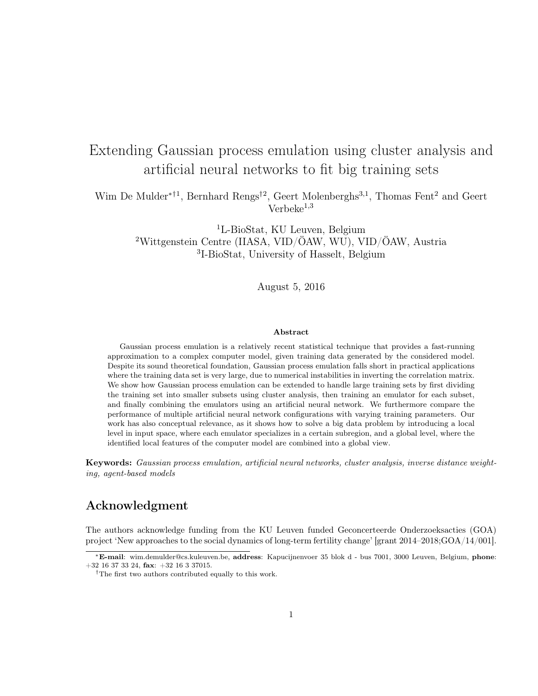# Extending Gaussian process emulation using cluster analysis and artificial neural networks to fit big training sets

Wim De Mulder<sup>∗†1</sup>, Bernhard Rengs<sup>†2</sup>, Geert Molenberghs<sup>3,1</sup>, Thomas Fent<sup>2</sup> and Geert  $Verbeke<sup>1,3</sup>$ 

> <sup>1</sup>L-BioStat, KU Leuven, Belgium <sup>2</sup>Wittgenstein Centre (IIASA, VID/ÖAW, WU), VID/ÖAW, Austria 3 I-BioStat, University of Hasselt, Belgium

> > August 5, 2016

#### Abstract

Gaussian process emulation is a relatively recent statistical technique that provides a fast-running approximation to a complex computer model, given training data generated by the considered model. Despite its sound theoretical foundation, Gaussian process emulation falls short in practical applications where the training data set is very large, due to numerical instabilities in inverting the correlation matrix. We show how Gaussian process emulation can be extended to handle large training sets by first dividing the training set into smaller subsets using cluster analysis, then training an emulator for each subset, and finally combining the emulators using an artificial neural network. We furthermore compare the performance of multiple artificial neural network configurations with varying training parameters. Our work has also conceptual relevance, as it shows how to solve a big data problem by introducing a local level in input space, where each emulator specializes in a certain subregion, and a global level, where the identified local features of the computer model are combined into a global view.

Keywords: Gaussian process emulation, artificial neural networks, cluster analysis, inverse distance weighting, agent-based models

### Acknowledgment

The authors acknowledge funding from the KU Leuven funded Geconcerteerde Onderzoeksacties (GOA) project 'New approaches to the social dynamics of long-term fertility change' [grant 2014–2018;GOA/14/001].

<sup>∗</sup>E-mail: wim.demulder@cs.kuleuven.be, address: Kapucijnenvoer 35 blok d - bus 7001, 3000 Leuven, Belgium, phone: +32 16 37 33 24, fax: +32 16 3 37015.

 $^\dagger\text{The first two authors contributed equally to this work.}$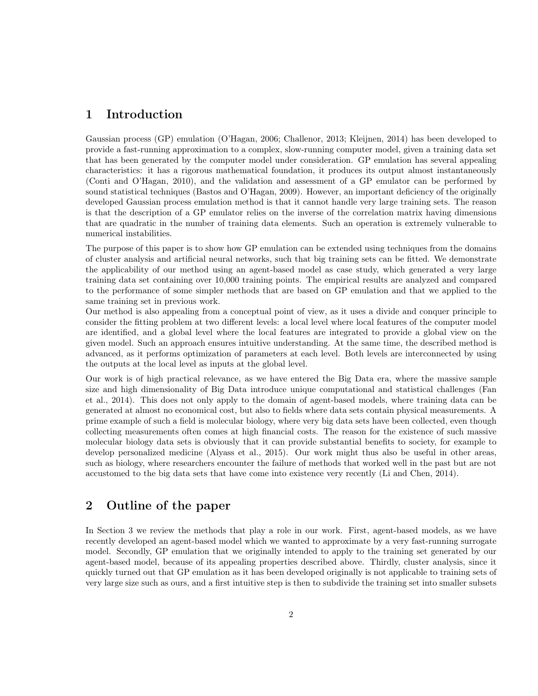### 1 Introduction

Gaussian process (GP) emulation (O'Hagan, 2006; Challenor, 2013; Kleijnen, 2014) has been developed to provide a fast-running approximation to a complex, slow-running computer model, given a training data set that has been generated by the computer model under consideration. GP emulation has several appealing characteristics: it has a rigorous mathematical foundation, it produces its output almost instantaneously (Conti and O'Hagan, 2010), and the validation and assessment of a GP emulator can be performed by sound statistical techniques (Bastos and O'Hagan, 2009). However, an important deficiency of the originally developed Gaussian process emulation method is that it cannot handle very large training sets. The reason is that the description of a GP emulator relies on the inverse of the correlation matrix having dimensions that are quadratic in the number of training data elements. Such an operation is extremely vulnerable to numerical instabilities.

The purpose of this paper is to show how GP emulation can be extended using techniques from the domains of cluster analysis and artificial neural networks, such that big training sets can be fitted. We demonstrate the applicability of our method using an agent-based model as case study, which generated a very large training data set containing over 10,000 training points. The empirical results are analyzed and compared to the performance of some simpler methods that are based on GP emulation and that we applied to the same training set in previous work.

Our method is also appealing from a conceptual point of view, as it uses a divide and conquer principle to consider the fitting problem at two different levels: a local level where local features of the computer model are identified, and a global level where the local features are integrated to provide a global view on the given model. Such an approach ensures intuitive understanding. At the same time, the described method is advanced, as it performs optimization of parameters at each level. Both levels are interconnected by using the outputs at the local level as inputs at the global level.

Our work is of high practical relevance, as we have entered the Big Data era, where the massive sample size and high dimensionality of Big Data introduce unique computational and statistical challenges (Fan et al., 2014). This does not only apply to the domain of agent-based models, where training data can be generated at almost no economical cost, but also to fields where data sets contain physical measurements. A prime example of such a field is molecular biology, where very big data sets have been collected, even though collecting measurements often comes at high financial costs. The reason for the existence of such massive molecular biology data sets is obviously that it can provide substantial benefits to society, for example to develop personalized medicine (Alyass et al., 2015). Our work might thus also be useful in other areas, such as biology, where researchers encounter the failure of methods that worked well in the past but are not accustomed to the big data sets that have come into existence very recently (Li and Chen, 2014).

### 2 Outline of the paper

In Section 3 we review the methods that play a role in our work. First, agent-based models, as we have recently developed an agent-based model which we wanted to approximate by a very fast-running surrogate model. Secondly, GP emulation that we originally intended to apply to the training set generated by our agent-based model, because of its appealing properties described above. Thirdly, cluster analysis, since it quickly turned out that GP emulation as it has been developed originally is not applicable to training sets of very large size such as ours, and a first intuitive step is then to subdivide the training set into smaller subsets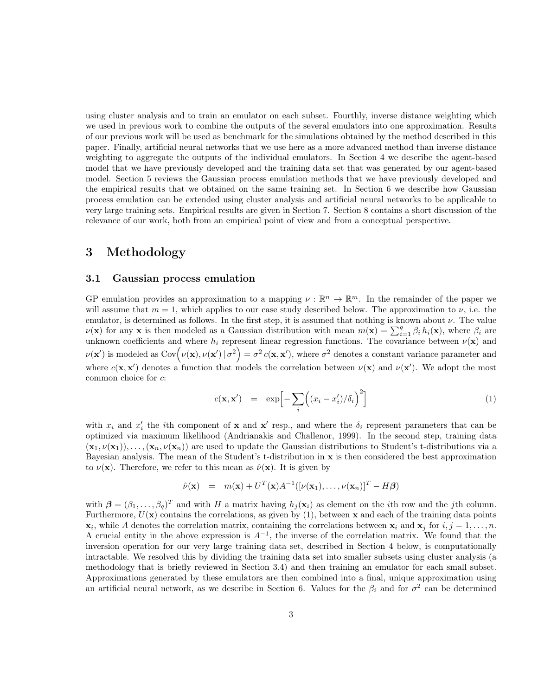using cluster analysis and to train an emulator on each subset. Fourthly, inverse distance weighting which we used in previous work to combine the outputs of the several emulators into one approximation. Results of our previous work will be used as benchmark for the simulations obtained by the method described in this paper. Finally, artificial neural networks that we use here as a more advanced method than inverse distance weighting to aggregate the outputs of the individual emulators. In Section 4 we describe the agent-based model that we have previously developed and the training data set that was generated by our agent-based model. Section 5 reviews the Gaussian process emulation methods that we have previously developed and the empirical results that we obtained on the same training set. In Section 6 we describe how Gaussian process emulation can be extended using cluster analysis and artificial neural networks to be applicable to very large training sets. Empirical results are given in Section 7. Section 8 contains a short discussion of the relevance of our work, both from an empirical point of view and from a conceptual perspective.

#### 3 Methodology

#### 3.1 Gaussian process emulation

GP emulation provides an approximation to a mapping  $\nu : \mathbb{R}^n \to \mathbb{R}^m$ . In the remainder of the paper we will assume that  $m = 1$ , which applies to our case study described below. The approximation to  $\nu$ , i.e. the emulator, is determined as follows. In the first step, it is assumed that nothing is known about  $\nu$ . The value  $\nu(\mathbf{x})$  for any **x** is then modeled as a Gaussian distribution with mean  $m(\mathbf{x}) = \sum_{i=1}^{q} \beta_i h_i(\mathbf{x})$ , where  $\beta_i$  are unknown coefficients and where  $h_i$  represent linear regression functions. The covariance between  $\nu(\mathbf{x})$  and  $\nu(\mathbf{x}')$  is modeled as  $Cov(\nu(\mathbf{x}), \nu(\mathbf{x}') | \sigma^2) = \sigma^2 c(\mathbf{x}, \mathbf{x}'),$  where  $\sigma^2$  denotes a constant variance parameter and where  $c(\mathbf{x}, \mathbf{x}')$  denotes a function that models the correlation between  $\nu(\mathbf{x})$  and  $\nu(\mathbf{x}')$ . We adopt the most common choice for c:

$$
c(\mathbf{x}, \mathbf{x}') = \exp\left[-\sum_{i} \left( (x_i - x'_i)/\delta_i \right)^2\right]
$$
 (1)

with  $x_i$  and  $x'_i$  the *i*th component of **x** and **x'** resp., and where the  $\delta_i$  represent parameters that can be optimized via maximum likelihood (Andrianakis and Challenor, 1999). In the second step, training data  $(\mathbf{x}_1, \nu(\mathbf{x}_1)), \ldots, (\mathbf{x}_n, \nu(\mathbf{x}_n))$  are used to update the Gaussian distributions to Student's t-distributions via a Bayesian analysis. The mean of the Student's t-distribution in x is then considered the best approximation to  $\nu(\mathbf{x})$ . Therefore, we refer to this mean as  $\hat{\nu}(\mathbf{x})$ . It is given by

$$
\hat{\nu}(\mathbf{x}) = m(\mathbf{x}) + U^T(\mathbf{x})A^{-1}([\nu(\mathbf{x}_1), \dots, \nu(\mathbf{x}_n)]^T - H\boldsymbol{\beta})
$$

with  $\boldsymbol{\beta} = (\beta_1, \ldots, \beta_q)^T$  and with H a matrix having  $h_j(\mathbf{x}_i)$  as element on the *i*th row and the *j*th column. Furthermore,  $U(\mathbf{x})$  contains the correlations, as given by (1), between x and each of the training data points  $\mathbf{x}_i$ , while A denotes the correlation matrix, containing the correlations between  $\mathbf{x}_i$  and  $\mathbf{x}_j$  for  $i, j = 1, \ldots, n$ . A crucial entity in the above expression is  $A^{-1}$ , the inverse of the correlation matrix. We found that the inversion operation for our very large training data set, described in Section 4 below, is computationally intractable. We resolved this by dividing the training data set into smaller subsets using cluster analysis (a methodology that is briefly reviewed in Section 3.4) and then training an emulator for each small subset. Approximations generated by these emulators are then combined into a final, unique approximation using an artificial neural network, as we describe in Section 6. Values for the  $\beta_i$  and for  $\sigma^2$  can be determined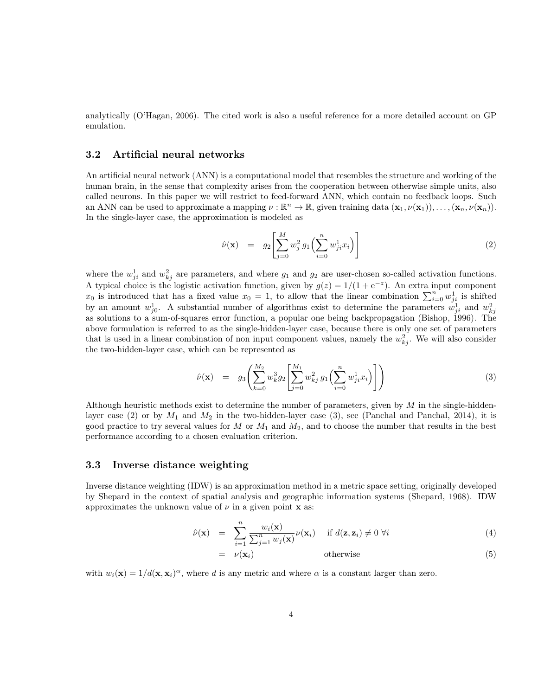analytically (O'Hagan, 2006). The cited work is also a useful reference for a more detailed account on GP emulation.

#### 3.2 Artificial neural networks

An artificial neural network (ANN) is a computational model that resembles the structure and working of the human brain, in the sense that complexity arises from the cooperation between otherwise simple units, also called neurons. In this paper we will restrict to feed-forward ANN, which contain no feedback loops. Such an ANN can be used to approximate a mapping  $\nu : \mathbb{R}^n \to \mathbb{R}$ , given training data  $(\mathbf{x}_1, \nu(\mathbf{x}_1)), \ldots, (\mathbf{x}_n, \nu(\mathbf{x}_n)).$ In the single-layer case, the approximation is modeled as

$$
\hat{\nu}(\mathbf{x}) = g_2 \left[ \sum_{j=0}^{M} w_j^2 g_1 \left( \sum_{i=0}^{n} w_{ji}^1 x_i \right) \right] \tag{2}
$$

where the  $w_{ji}^1$  and  $w_{kj}^2$  are parameters, and where  $g_1$  and  $g_2$  are user-chosen so-called activation functions. A typical choice is the logistic activation function, given by  $g(z) = 1/(1 + e^{-z})$ . An extra input component  $x_0$  is introduced that has a fixed value  $x_0 = 1$ , to allow that the linear combination  $\sum_{i=0}^{n} w_{ji}^1$  is shifted by an amount  $w_{j0}^1$ . A substantial number of algorithms exist to determine the parameters  $w_{ji}^1$  and  $w_{kj}^2$ as solutions to a sum-of-squares error function, a popular one being backpropagation (Bishop, 1996). The above formulation is referred to as the single-hidden-layer case, because there is only one set of parameters that is used in a linear combination of non input component values, namely the  $w_{kj}^2$ . We will also consider the two-hidden-layer case, which can be represented as

$$
\hat{\nu}(\mathbf{x}) = g_3 \left( \sum_{k=0}^{M_2} w_k^3 g_2 \left[ \sum_{j=0}^{M_1} w_{kj}^2 g_1 \left( \sum_{i=0}^n w_{ji}^1 x_i \right) \right] \right) \tag{3}
$$

Although heuristic methods exist to determine the number of parameters, given by  $M$  in the single-hiddenlayer case (2) or by  $M_1$  and  $M_2$  in the two-hidden-layer case (3), see (Panchal and Panchal, 2014), it is good practice to try several values for M or  $M_1$  and  $M_2$ , and to choose the number that results in the best performance according to a chosen evaluation criterion.

#### 3.3 Inverse distance weighting

Inverse distance weighting (IDW) is an approximation method in a metric space setting, originally developed by Shepard in the context of spatial analysis and geographic information systems (Shepard, 1968). IDW approximates the unknown value of  $\nu$  in a given point **x** as:

$$
\hat{\nu}(\mathbf{x}) = \sum_{i=1}^{n} \frac{w_i(\mathbf{x})}{\sum_{j=1}^{n} w_j(\mathbf{x})} \nu(\mathbf{x}_i) \quad \text{if } d(\mathbf{z}, \mathbf{z}_i) \neq 0 \ \forall i
$$
\n(4)

$$
= \nu(\mathbf{x}_i) \qquad \qquad \text{otherwise} \tag{5}
$$

with  $w_i(\mathbf{x}) = 1/d(\mathbf{x}, \mathbf{x}_i)^\alpha$ , where d is any metric and where  $\alpha$  is a constant larger than zero.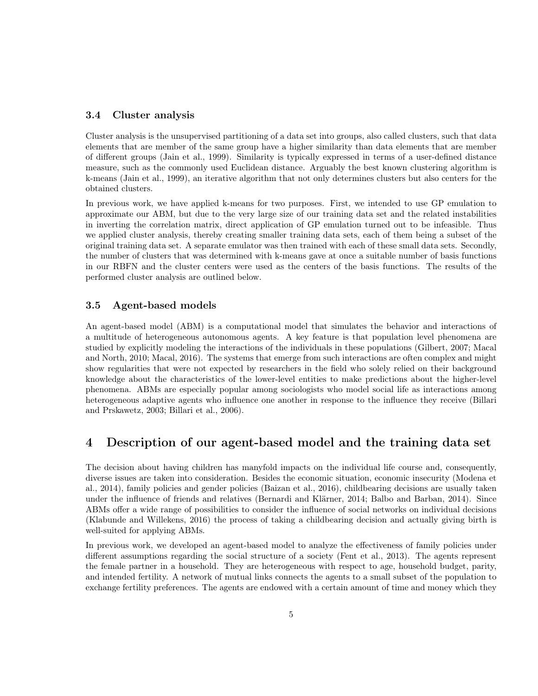#### 3.4 Cluster analysis

Cluster analysis is the unsupervised partitioning of a data set into groups, also called clusters, such that data elements that are member of the same group have a higher similarity than data elements that are member of different groups (Jain et al., 1999). Similarity is typically expressed in terms of a user-defined distance measure, such as the commonly used Euclidean distance. Arguably the best known clustering algorithm is k-means (Jain et al., 1999), an iterative algorithm that not only determines clusters but also centers for the obtained clusters.

In previous work, we have applied k-means for two purposes. First, we intended to use GP emulation to approximate our ABM, but due to the very large size of our training data set and the related instabilities in inverting the correlation matrix, direct application of GP emulation turned out to be infeasible. Thus we applied cluster analysis, thereby creating smaller training data sets, each of them being a subset of the original training data set. A separate emulator was then trained with each of these small data sets. Secondly, the number of clusters that was determined with k-means gave at once a suitable number of basis functions in our RBFN and the cluster centers were used as the centers of the basis functions. The results of the performed cluster analysis are outlined below.

#### 3.5 Agent-based models

An agent-based model (ABM) is a computational model that simulates the behavior and interactions of a multitude of heterogeneous autonomous agents. A key feature is that population level phenomena are studied by explicitly modeling the interactions of the individuals in these populations (Gilbert, 2007; Macal and North, 2010; Macal, 2016). The systems that emerge from such interactions are often complex and might show regularities that were not expected by researchers in the field who solely relied on their background knowledge about the characteristics of the lower-level entities to make predictions about the higher-level phenomena. ABMs are especially popular among sociologists who model social life as interactions among heterogeneous adaptive agents who influence one another in response to the influence they receive (Billari and Prskawetz, 2003; Billari et al., 2006).

### 4 Description of our agent-based model and the training data set

The decision about having children has manyfold impacts on the individual life course and, consequently, diverse issues are taken into consideration. Besides the economic situation, economic insecurity (Modena et al., 2014), family policies and gender policies (Baizan et al., 2016), childbearing decisions are usually taken under the influence of friends and relatives (Bernardi and Klärner, 2014; Balbo and Barban, 2014). Since ABMs offer a wide range of possibilities to consider the influence of social networks on individual decisions (Klabunde and Willekens, 2016) the process of taking a childbearing decision and actually giving birth is well-suited for applying ABMs.

In previous work, we developed an agent-based model to analyze the effectiveness of family policies under different assumptions regarding the social structure of a society (Fent et al., 2013). The agents represent the female partner in a household. They are heterogeneous with respect to age, household budget, parity, and intended fertility. A network of mutual links connects the agents to a small subset of the population to exchange fertility preferences. The agents are endowed with a certain amount of time and money which they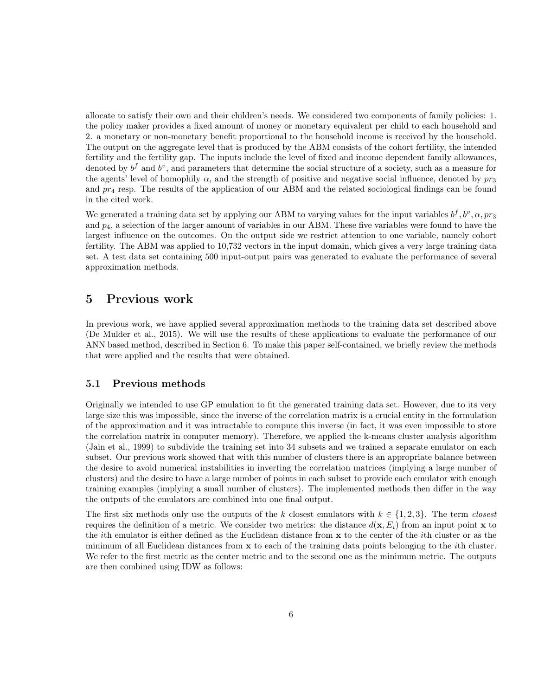allocate to satisfy their own and their children's needs. We considered two components of family policies: 1. the policy maker provides a fixed amount of money or monetary equivalent per child to each household and 2. a monetary or non-monetary benefit proportional to the household income is received by the household. The output on the aggregate level that is produced by the ABM consists of the cohort fertility, the intended fertility and the fertility gap. The inputs include the level of fixed and income dependent family allowances, denoted by  $b^f$  and  $b^v$ , and parameters that determine the social structure of a society, such as a measure for the agents' level of homophily  $\alpha$ , and the strength of positive and negative social influence, denoted by  $pr_3$ and  $pr_4$  resp. The results of the application of our ABM and the related sociological findings can be found in the cited work.

We generated a training data set by applying our ABM to varying values for the input variables  $b^f, b^v, \alpha, pr_3$ and  $p_4$ , a selection of the larger amount of variables in our ABM. These five variables were found to have the largest influence on the outcomes. On the output side we restrict attention to one variable, namely cohort fertility. The ABM was applied to 10,732 vectors in the input domain, which gives a very large training data set. A test data set containing 500 input-output pairs was generated to evaluate the performance of several approximation methods.

### 5 Previous work

In previous work, we have applied several approximation methods to the training data set described above (De Mulder et al., 2015). We will use the results of these applications to evaluate the performance of our ANN based method, described in Section 6. To make this paper self-contained, we briefly review the methods that were applied and the results that were obtained.

#### 5.1 Previous methods

Originally we intended to use GP emulation to fit the generated training data set. However, due to its very large size this was impossible, since the inverse of the correlation matrix is a crucial entity in the formulation of the approximation and it was intractable to compute this inverse (in fact, it was even impossible to store the correlation matrix in computer memory). Therefore, we applied the k-means cluster analysis algorithm (Jain et al., 1999) to subdivide the training set into 34 subsets and we trained a separate emulator on each subset. Our previous work showed that with this number of clusters there is an appropriate balance between the desire to avoid numerical instabilities in inverting the correlation matrices (implying a large number of clusters) and the desire to have a large number of points in each subset to provide each emulator with enough training examples (implying a small number of clusters). The implemented methods then differ in the way the outputs of the emulators are combined into one final output.

The first six methods only use the outputs of the k closest emulators with  $k \in \{1, 2, 3\}$ . The term closest requires the definition of a metric. We consider two metrics: the distance  $d(\mathbf{x}, E_i)$  from an input point x to the ith emulator is either defined as the Euclidean distance from x to the center of the ith cluster or as the minimum of all Euclidean distances from  $x$  to each of the training data points belonging to the *i*th cluster. We refer to the first metric as the center metric and to the second one as the minimum metric. The outputs are then combined using IDW as follows: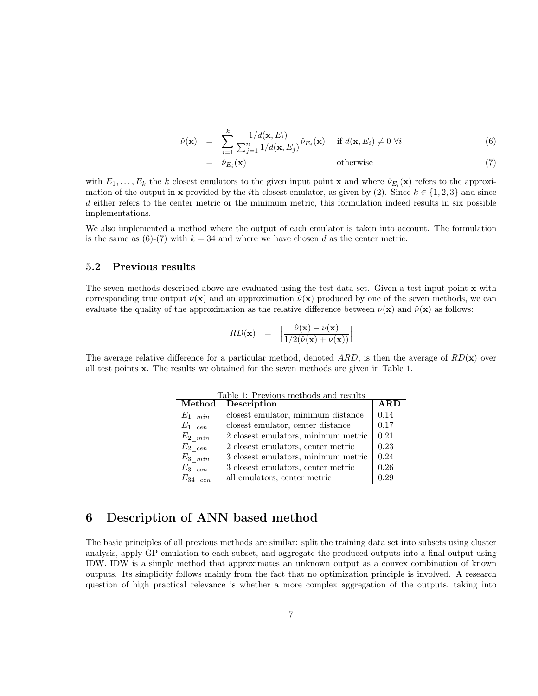$$
\hat{\nu}(\mathbf{x}) = \sum_{i=1}^{k} \frac{1/d(\mathbf{x}, E_i)}{\sum_{j=1}^{n} 1/d(\mathbf{x}, E_j)} \hat{\nu}_{E_i}(\mathbf{x}) \quad \text{if } d(\mathbf{x}, E_i) \neq 0 \ \forall i
$$
\n(6)

$$
\hat{\nu}_{E_i}(\mathbf{x})\tag{7}
$$

with  $E_1, \ldots, E_k$  the k closest emulators to the given input point **x** and where  $\hat{\nu}_{E_i}(\mathbf{x})$  refers to the approximation of the output in x provided by the *i*th closest emulator, as given by (2). Since  $k \in \{1, 2, 3\}$  and since d either refers to the center metric or the minimum metric, this formulation indeed results in six possible implementations.

We also implemented a method where the output of each emulator is taken into account. The formulation is the same as  $(6)-(7)$  with  $k = 34$  and where we have chosen d as the center metric.

#### 5.2 Previous results

The seven methods described above are evaluated using the test data set. Given a test input point x with corresponding true output  $\nu(\mathbf{x})$  and an approximation  $\hat{\nu}(\mathbf{x})$  produced by one of the seven methods, we can evaluate the quality of the approximation as the relative difference between  $\nu(\mathbf{x})$  and  $\hat{\nu}(\mathbf{x})$  as follows:

$$
RD(\mathbf{x}) = \left| \frac{\hat{\nu}(\mathbf{x}) - \nu(\mathbf{x})}{1/2(\hat{\nu}(\mathbf{x}) + \nu(\mathbf{x}))} \right|
$$

The average relative difference for a particular method, denoted ARD, is then the average of  $RD(\mathbf{x})$  over all test points x. The results we obtained for the seven methods are given in Table 1.

| Method             | Description                                | $\bf A RD$ |
|--------------------|--------------------------------------------|------------|
| $E_{1-min}$        | closest emulator, minimum distance         | 0.14       |
| $E_{1 \text{cen}}$ | closest emulator, center distance          | 0.17       |
| $E_{2,min}$        | 2 closest emulators, minimum metric        | 0.21       |
| $E_{2 \text{cen}}$ | 2 closest emulators, center metric         | 0.23       |
| $E_{3-min}$        | $3$ closest emulators, minimum metric $\,$ | 0.24       |
| $E_{3\quadcen}$    | 3 closest emulators, center metric         | 0.26       |
| $E_{34}$ cen       | all emulators, center metric               | 0.29       |

Table 1: Previous methods and results

### 6 Description of ANN based method

 $=$ 

The basic principles of all previous methods are similar: split the training data set into subsets using cluster analysis, apply GP emulation to each subset, and aggregate the produced outputs into a final output using IDW. IDW is a simple method that approximates an unknown output as a convex combination of known outputs. Its simplicity follows mainly from the fact that no optimization principle is involved. A research question of high practical relevance is whether a more complex aggregation of the outputs, taking into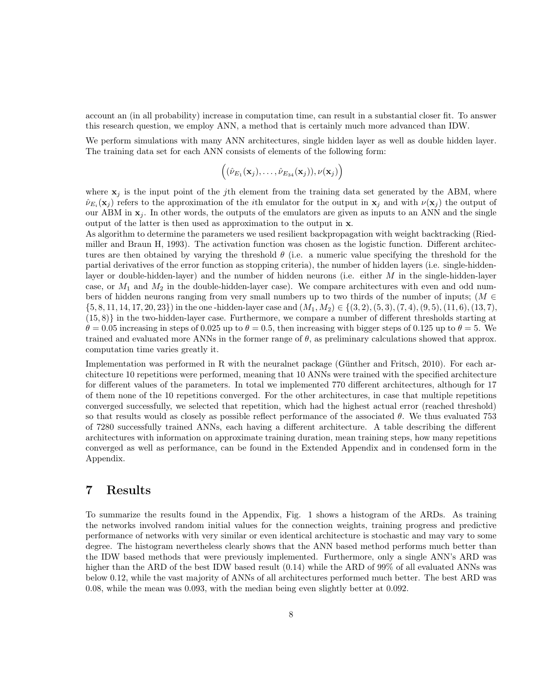account an (in all probability) increase in computation time, can result in a substantial closer fit. To answer this research question, we employ ANN, a method that is certainly much more advanced than IDW.

We perform simulations with many ANN architectures, single hidden layer as well as double hidden layer. The training data set for each ANN consists of elements of the following form:

$$
((\hat{\nu}_{E_1}(\mathbf{x}_j),\ldots,\hat{\nu}_{E_{34}}(\mathbf{x}_j)),\nu(\mathbf{x}_j))
$$

where  $x_i$  is the input point of the jth element from the training data set generated by the ABM, where  $\hat{\nu}_{E_i}(\mathbf{x}_j)$  refers to the approximation of the *i*th emulator for the output in  $\mathbf{x}_j$  and with  $\nu(\mathbf{x}_j)$  the output of our ABM in  $x_j$ . In other words, the outputs of the emulators are given as inputs to an ANN and the single output of the latter is then used as approximation to the output in x.

As algorithm to determine the parameters we used resilient backpropagation with weight backtracking (Riedmiller and Braun H, 1993). The activation function was chosen as the logistic function. Different architectures are then obtained by varying the threshold  $\theta$  (i.e. a numeric value specifying the threshold for the partial derivatives of the error function as stopping criteria), the number of hidden layers (i.e. single-hiddenlayer or double-hidden-layer) and the number of hidden neurons (i.e. either  $M$  in the single-hidden-layer case, or  $M_1$  and  $M_2$  in the double-hidden-layer case). We compare architectures with even and odd numbers of hidden neurons ranging from very small numbers up to two thirds of the number of inputs; ( $M \in$  $\{5, 8, 11, 14, 17, 20, 23\}$  in the one-hidden-layer case and  $(M_1, M_2) \in \{(3, 2), (5, 3), (7, 4), (9, 5), (11, 6), (13, 7),$ (15, 8)} in the two-hidden-layer case. Furthermore, we compare a number of different thresholds starting at  $\theta = 0.05$  increasing in steps of 0.025 up to  $\theta = 0.5$ , then increasing with bigger steps of 0.125 up to  $\theta = 5$ . We trained and evaluated more ANNs in the former range of  $\theta$ , as preliminary calculations showed that approx. computation time varies greatly it.

Implementation was performed in R with the neuralnet package (Günther and Fritsch, 2010). For each architecture 10 repetitions were performed, meaning that 10 ANNs were trained with the specified architecture for different values of the parameters. In total we implemented 770 different architectures, although for 17 of them none of the 10 repetitions converged. For the other architectures, in case that multiple repetitions converged successfully, we selected that repetition, which had the highest actual error (reached threshold) so that results would as closely as possible reflect performance of the associated  $\theta$ . We thus evaluated 753 of 7280 successfully trained ANNs, each having a different architecture. A table describing the different architectures with information on approximate training duration, mean training steps, how many repetitions converged as well as performance, can be found in the Extended Appendix and in condensed form in the Appendix.

### 7 Results

To summarize the results found in the Appendix, Fig. 1 shows a histogram of the ARDs. As training the networks involved random initial values for the connection weights, training progress and predictive performance of networks with very similar or even identical architecture is stochastic and may vary to some degree. The histogram nevertheless clearly shows that the ANN based method performs much better than the IDW based methods that were previously implemented. Furthermore, only a single ANN's ARD was higher than the ARD of the best IDW based result  $(0.14)$  while the ARD of 99% of all evaluated ANNs was below 0.12, while the vast majority of ANNs of all architectures performed much better. The best ARD was 0.08, while the mean was 0.093, with the median being even slightly better at 0.092.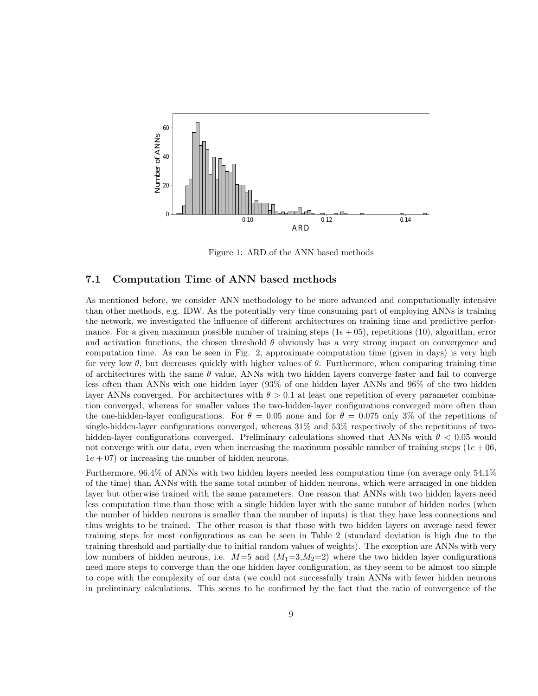

Figure 1: ARD of the ANN based methods

#### 7.1 Computation Time of ANN based methods

As mentioned before, we consider ANN methodology to be more advanced and computationally intensive than other methods, e.g. IDW. As the potentially very time consuming part of employing ANNs is training the network, we investigated the influence of different architectures on training time and predictive performance. For a given maximum possible number of training steps  $(1e + 05)$ , repetitions (10), algorithm, error and activation functions, the chosen threshold  $\theta$  obviously has a very strong impact on convergence and computation time. As can be seen in Fig. 2, approximate computation time (given in days) is very high for very low  $\theta$ , but decreases quickly with higher values of  $\theta$ . Furthermore, when comparing training time of architectures with the same  $\theta$  value, ANNs with two hidden layers converge faster and fail to converge less often than ANNs with one hidden layer (93% of one hidden layer ANNs and 96% of the two hidden layer ANNs converged. For architectures with  $\theta > 0.1$  at least one repetition of every parameter combination converged, whereas for smaller values the two-hidden-layer configurations converged more often than the one-hidden-layer configurations. For  $\theta = 0.05$  none and for  $\theta = 0.075$  only 3% of the repetitions of single-hidden-layer configurations converged, whereas  $31\%$  and  $53\%$  respectively of the repetitions of twohidden-layer configurations converged. Preliminary calculations showed that ANNs with  $\theta$  < 0.05 would not converge with our data, even when increasing the maximum possible number of training steps  $(1e + 06,$  $1e + 07$  or increasing the number of hidden neurons.

Furthermore, 96.4% of ANNs with two hidden layers needed less computation time (on average only 54.1% of the time) than ANNs with the same total number of hidden neurons, which were arranged in one hidden layer but otherwise trained with the same parameters. One reason that ANNs with two hidden layers need less computation time than those with a single hidden layer with the same number of hidden nodes (when the number of hidden neurons is smaller than the number of inputs) is that they have less connections and thus weights to be trained. The other reason is that those with two hidden layers on average need fewer training steps for most configurations as can be seen in Table 2 (standard deviation is high due to the training threshold and partially due to initial random values of weights). The exception are ANNs with very low numbers of hidden neurons, i.e.  $M=5$  and  $(M_1=3,M_2=2)$  where the two hidden layer configurations need more steps to converge than the one hidden layer configuration, as they seem to be almost too simple to cope with the complexity of our data (we could not successfully train ANNs with fewer hidden neurons in preliminary calculations. This seems to be confirmed by the fact that the ratio of convergence of the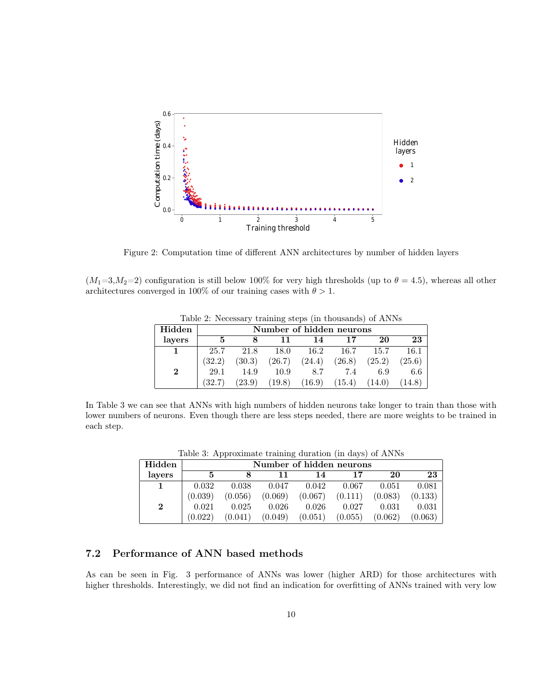

Figure 2: Computation time of different ANN architectures by number of hidden layers

 $(M_1=3,M_2=2)$  configuration is still below 100% for very high thresholds (up to  $\theta = 4.5$ ), whereas all other architectures converged in 100% of our training cases with  $\theta > 1$ .

| Hidden   |        | Number of hidden neurons |        |        |        |        |        |  |  |
|----------|--------|--------------------------|--------|--------|--------|--------|--------|--|--|
| layers   |        |                          | 11     | 14     | 17     | 20     | 23     |  |  |
|          | 25.7   | 21.8                     | 18.0   | 16.2   | 16.7   | 15.7   | 16.1   |  |  |
|          | (32.2) | (30.3)                   | (26.7) | (24.4) | (26.8) | (25.2) | (25.6) |  |  |
| $\bf{2}$ | 29.1   | 14.9                     | 10.9   | 8.7    | 7.4    | 6.9    | 6.6    |  |  |
|          | (32.7) | (23.9)                   | (19.8) | (16.9) | (15.4) | (14.0) | (14.8) |  |  |

Table 2: Necessary training steps (in thousands) of ANNs

In Table 3 we can see that ANNs with high numbers of hidden neurons take longer to train than those with lower numbers of neurons. Even though there are less steps needed, there are more weights to be trained in each step.

| Table 0. Tripproximate training duration (in days) or Trivities |         |                          |         |         |         |         |         |  |
|-----------------------------------------------------------------|---------|--------------------------|---------|---------|---------|---------|---------|--|
| Hidden                                                          |         | Number of hidden neurons |         |         |         |         |         |  |
| lavers                                                          | 5       |                          |         | 14      | 17      | 20      | 23      |  |
|                                                                 | 0.032   | 0.038                    | 0.047   | 0.042   | 0.067   | 0.051   | 0.081   |  |
|                                                                 | (0.039) | (0.056)                  | (0.069) | (0.067) | (0.111) | (0.083) | (0.133) |  |
| $\bf{2}$                                                        | 0.021   | 0.025                    | 0.026   | 0.026   | 0.027   | 0.031   | 0.031   |  |
|                                                                 | (0.022) | (0.041)                  | (0.049) | (0.051) | (0.055) | (0.062) | (0.063) |  |

Table 3: Approximate training duration (in days) of ANNs

#### 7.2 Performance of ANN based methods

As can be seen in Fig. 3 performance of ANNs was lower (higher ARD) for those architectures with higher thresholds. Interestingly, we did not find an indication for overfitting of ANNs trained with very low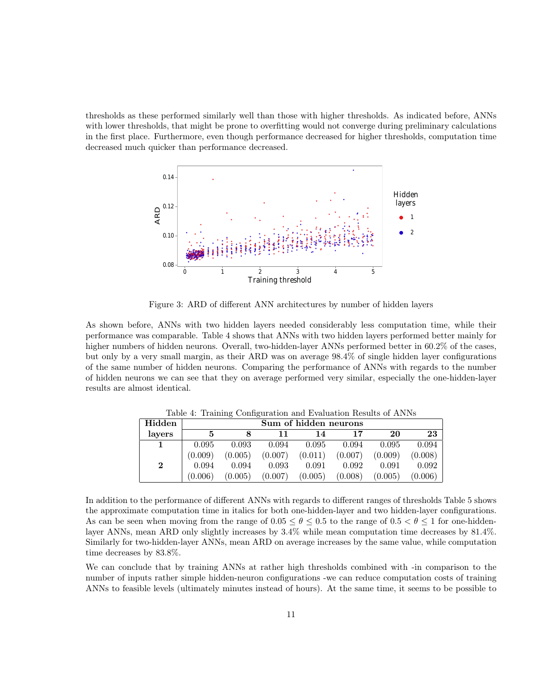thresholds as these performed similarly well than those with higher thresholds. As indicated before, ANNs with lower thresholds, that might be prone to overfitting would not converge during preliminary calculations in the first place. Furthermore, even though performance decreased for higher thresholds, computation time decreased much quicker than performance decreased.



Figure 3: ARD of different ANN architectures by number of hidden layers

As shown before, ANNs with two hidden layers needed considerably less computation time, while their performance was comparable. Table 4 shows that ANNs with two hidden layers performed better mainly for higher numbers of hidden neurons. Overall, two-hidden-layer ANNs performed better in 60.2% of the cases, but only by a very small margin, as their ARD was on average 98.4% of single hidden layer configurations of the same number of hidden neurons. Comparing the performance of ANNs with regards to the number of hidden neurons we can see that they on average performed very similar, especially the one-hidden-layer results are almost identical.

| Hidden |         | Sum of hidden neurons |         |         |         |         |         |  |
|--------|---------|-----------------------|---------|---------|---------|---------|---------|--|
| layers | 5       |                       | 11      | 14      | 17      | 20      | 23      |  |
|        | 0.095   | 0.093                 | 0.094   | 0.095   | 0.094   | 0.095   | 0.094   |  |
|        | (0.009) | (0.005)               | (0.007) | (0.011) | (0.007) | (0.009) | (0.008) |  |
| 2      | 0.094   | 0.094                 | 0.093   | 0.091   | 0.092   | 0.091   | 0.092   |  |
|        | (0.006) | (0.005)               | (0.007) | (0.005) | (0.008) | (0.005) | (0.006) |  |

Table 4: Training Configuration and Evaluation Results of ANNs

In addition to the performance of different ANNs with regards to different ranges of thresholds Table 5 shows the approximate computation time in italics for both one-hidden-layer and two hidden-layer configurations. As can be seen when moving from the range of  $0.05 \le \theta \le 0.5$  to the range of  $0.5 < \theta \le 1$  for one-hiddenlayer ANNs, mean ARD only slightly increases by 3.4% while mean computation time decreases by 81.4%. Similarly for two-hidden-layer ANNs, mean ARD on average increases by the same value, while computation time decreases by 83.8%.

We can conclude that by training ANNs at rather high thresholds combined with -in comparison to the number of inputs rather simple hidden-neuron configurations -we can reduce computation costs of training ANNs to feasible levels (ultimately minutes instead of hours). At the same time, it seems to be possible to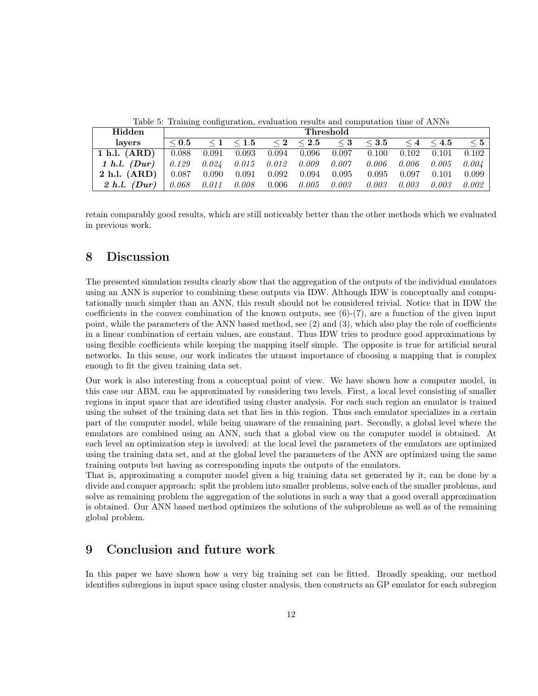| Hidden           |            | Threshold |                   |       |                   |          |            |       |                   |          |
|------------------|------------|-----------|-------------------|-------|-------------------|----------|------------|-------|-------------------|----------|
| lavers           | $\leq 0.5$ |           | $\leq 1 \leq 1.5$ |       | $\leq 2 \leq 2.5$ | $\leq 3$ | $\leq 3.5$ |       | $\leq 4 \leq 4.5$ | $\leq 5$ |
| 1 h.l. $(ARD)$   | 0.088      | 0.091     | 0.093             | 0.094 | 0.096             | 0.097    | 0.100      | 0.102 | 0.101             | 0.102    |
| 1 h.l. $(Dur)$   | 0.129      | 0.024     | 0.015             | 0.012 | 0.009             | 0.007    | 0.006      | 0.006 | 0.005             | 0.004    |
| $2$ h.l. $(ARD)$ | 0.087      | 0.090     | 0.091             | 0.092 | 0.094             | 0.095    | 0.095      | 0.097 | 0.101             | 0.099    |
| $2 h.l.$ (Dur)   | 0.068      | 0.011     | 0.008             | 0.006 | 0.005             | 0.003    | 0.003      | 0.003 | 0.003             | 0.002    |

Table 5: Training configuration, evaluation results and computation time of ANNs

retain comparably good results, which are still noticeably better than the other methods which we evaluated in previous work.

#### 8 Discussion

The presented simulation results clearly show that the aggregation of the outputs of the individual emulators using an ANN is superior to combining these outputs via IDW. Although IDW is conceptually and computationally much simpler than an ANN, this result should not be considered trivial. Notice that in IDW the coefficients in the convex combination of the known outputs, see  $(6)-(7)$ , are a function of the given input point, while the parameters of the ANN based method, see (2) and (3), which also play the role of coefficients in a linear combination of certain values, are constant. Thus IDW tries to produce good approximations by using flexible coefficients while keeping the mapping itself simple. The opposite is true for artificial neural networks. In this sense, our work indicates the utmost importance of choosing a mapping that is complex enough to fit the given training data set.

Our work is also interesting from a conceptual point of view. We have shown how a computer model, in this case our ABM, can be approximated by considering two levels. First, a local level consisting of smaller regions in input space that are identified using cluster analysis. For each such region an emulator is trained using the subset of the training data set that lies in this region. Thus each emulator specializes in a certain part of the computer model, while being unaware of the remaining part. Secondly, a global level where the emulators are combined using an ANN, such that a global view on the computer model is obtained. At each level an optimization step is involved: at the local level the parameters of the emulators are optimized using the training data set, and at the global level the parameters of the ANN are optimized using the same training outputs but having as corresponding inputs the outputs of the emulators.

That is, approximating a computer model given a big training data set generated by it, can be done by a divide and conquer approach: split the problem into smaller problems, solve each of the smaller problems, and solve as remaining problem the aggregation of the solutions in such a way that a good overall approximation is obtained. Our ANN based method optimizes the solutions of the subproblems as well as of the remaining global problem.

### 9 Conclusion and future work

In this paper we have shown how a very big training set can be fitted. Broadly speaking, our method identifies subregions in input space using cluster analysis, then constructs an GP emulator for each subregion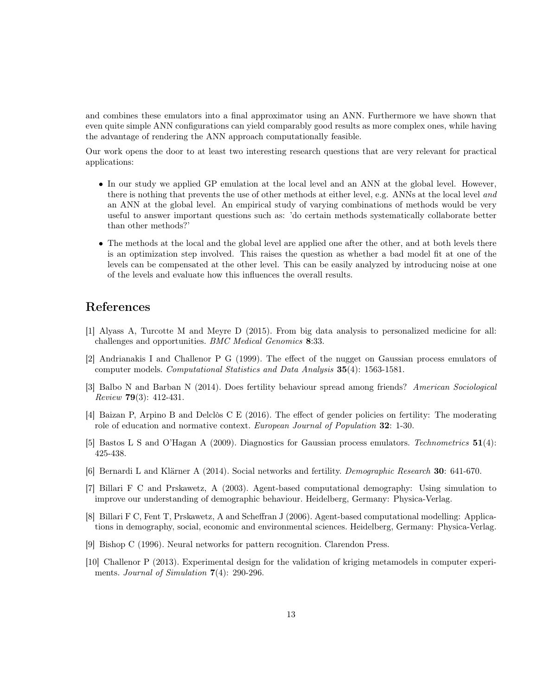and combines these emulators into a final approximator using an ANN. Furthermore we have shown that even quite simple ANN configurations can yield comparably good results as more complex ones, while having the advantage of rendering the ANN approach computationally feasible.

Our work opens the door to at least two interesting research questions that are very relevant for practical applications:

- In our study we applied GP emulation at the local level and an ANN at the global level. However, there is nothing that prevents the use of other methods at either level, e.g. ANNs at the local level and an ANN at the global level. An empirical study of varying combinations of methods would be very useful to answer important questions such as: 'do certain methods systematically collaborate better than other methods?'
- The methods at the local and the global level are applied one after the other, and at both levels there is an optimization step involved. This raises the question as whether a bad model fit at one of the levels can be compensated at the other level. This can be easily analyzed by introducing noise at one of the levels and evaluate how this influences the overall results.

### References

- [1] Alyass A, Turcotte M and Meyre D (2015). From big data analysis to personalized medicine for all: challenges and opportunities. BMC Medical Genomics 8:33.
- [2] Andrianakis I and Challenor P G (1999). The effect of the nugget on Gaussian process emulators of computer models. Computational Statistics and Data Analysis 35(4): 1563-1581.
- [3] Balbo N and Barban N (2014). Does fertility behaviour spread among friends? American Sociological Review 79(3): 412-431.
- [4] Baizan P, Arpino B and Delclòs C E (2016). The effect of gender policies on fertility: The moderating role of education and normative context. European Journal of Population 32: 1-30.
- [5] Bastos L S and O'Hagan A (2009). Diagnostics for Gaussian process emulators. Technometrics 51(4): 425-438.
- [6] Bernardi L and Klärner A (2014). Social networks and fertility. Demographic Research 30: 641-670.
- [7] Billari F C and Prskawetz, A (2003). Agent-based computational demography: Using simulation to improve our understanding of demographic behaviour. Heidelberg, Germany: Physica-Verlag.
- [8] Billari F C, Fent T, Prskawetz, A and Scheffran J (2006). Agent-based computational modelling: Applications in demography, social, economic and environmental sciences. Heidelberg, Germany: Physica-Verlag.
- [9] Bishop C (1996). Neural networks for pattern recognition. Clarendon Press.
- [10] Challenor P (2013). Experimental design for the validation of kriging metamodels in computer experiments. Journal of Simulation  $7(4)$ : 290-296.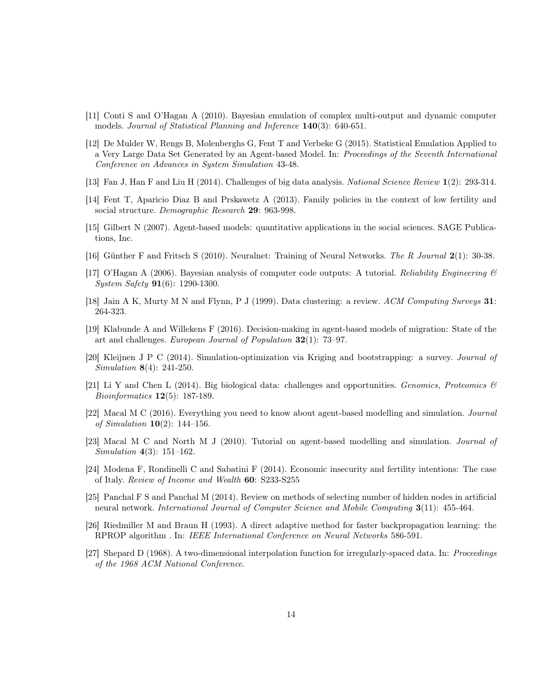- [11] Conti S and O'Hagan A (2010). Bayesian emulation of complex multi-output and dynamic computer models. Journal of Statistical Planning and Inference 140(3): 640-651.
- [12] De Mulder W, Rengs B, Molenberghs G, Fent T and Verbeke G (2015). Statistical Emulation Applied to a Very Large Data Set Generated by an Agent-based Model. In: Proceedings of the Seventh International Conference on Advances in System Simulation 43-48.
- [13] Fan J, Han F and Liu H (2014). Challenges of big data analysis. National Science Review 1(2): 293-314.
- [14] Fent T, Aparicio Diaz B and Prskawetz A (2013). Family policies in the context of low fertility and social structure. Demographic Research 29: 963-998.
- [15] Gilbert N (2007). Agent-based models: quantitative applications in the social sciences. SAGE Publications, Inc.
- [16] Günther F and Fritsch S (2010). Neuralnet: Training of Neural Networks. The R Journal 2(1): 30-38.
- [17] O'Hagan A (2006). Bayesian analysis of computer code outputs: A tutorial. Reliability Engineering  $\mathscr B$ System Safety 91(6): 1290-1300.
- [18] Jain A K, Murty M N and Flynn, P J (1999). Data clustering: a review. ACM Computing Surveys 31: 264-323.
- [19] Klabunde A and Willekens F (2016). Decision-making in agent-based models of migration: State of the art and challenges. European Journal of Population 32(1): 73–97.
- [20] Kleijnen J P C (2014). Simulation-optimization via Kriging and bootstrapping: a survey. Journal of Simulation 8(4): 241-250.
- [21] Li Y and Chen L (2014). Big biological data: challenges and opportunities. Genomics, Proteomics  $\mathcal{B}$ Bioinformatics 12(5): 187-189.
- [22] Macal M C (2016). Everything you need to know about agent-based modelling and simulation. Journal of Simulation  $10(2)$ : 144–156.
- [23] Macal M C and North M J (2010). Tutorial on agent-based modelling and simulation. Journal of Simulation 4(3): 151–162.
- [24] Modena F, Rondinelli C and Sabatini F (2014). Economic insecurity and fertility intentions: The case of Italy. Review of Income and Wealth 60: S233-S255
- [25] Panchal F S and Panchal M (2014). Review on methods of selecting number of hidden nodes in artificial neural network. International Journal of Computer Science and Mobile Computing 3(11): 455-464.
- [26] Riedmiller M and Braun H (1993). A direct adaptive method for faster backpropagation learning: the RPROP algorithm . In: IEEE International Conference on Neural Networks 586-591.
- [27] Shepard D (1968). A two-dimensional interpolation function for irregularly-spaced data. In: Proceedings of the 1968 ACM National Conference.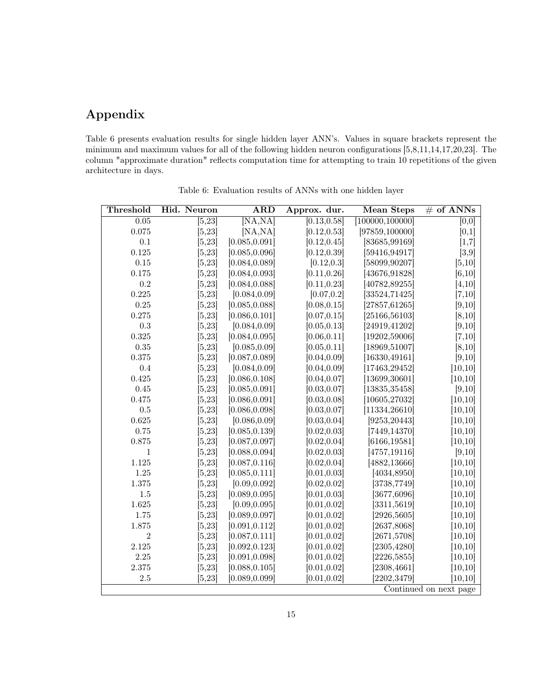## Appendix

Table 6 presents evaluation results for single hidden layer ANN's. Values in square brackets represent the minimum and maximum values for all of the following hidden neuron configurations [5,8,11,14,17,20,23]. The column "approximate duration" reflects computation time for attempting to train 10 repetitions of the given architecture in days.

| Threshold      | Hid. Neuron | <b>ARD</b>     | Approx. dur. | Mean Steps                 | $#$ of ANNs            |
|----------------|-------------|----------------|--------------|----------------------------|------------------------|
| 0.05           | [5, 23]     | [NA, NA]       | [0.13, 0.58] | $\overline{100000,100000}$ | [0,0]                  |
| 0.075          | [5, 23]     | [NA, NA]       | [0.12, 0.53] | [97859, 100000]            | [0,1]                  |
| $0.1\,$        | [5, 23]     | [0.085, 0.091] | [0.12, 0.45] | [83685,99169]              | [1,7]                  |
| 0.125          | [5, 23]     | [0.085, 0.096] | [0.12, 0.39] | [59416, 94917]             | [3,9]                  |
| 0.15           | [5, 23]     | [0.084, 0.089] | [0.12, 0.3]  | [58099,90207]              | [5, 10]                |
| 0.175          | [5, 23]     | [0.084, 0.093] | [0.11, 0.26] | [43676,91828]              | [6, 10]                |
| 0.2            | [5, 23]     | [0.084, 0.088] | [0.11, 0.23] | [40782,89255]              | [4, 10]                |
| 0.225          | [5, 23]     | [0.084, 0.09]  | [0.07, 0.2]  | [33524, 71425]             | [7,10]                 |
| 0.25           | [5, 23]     | [0.085, 0.088] | [0.08, 0.15] | [27857, 61265]             | [9,10]                 |
| 0.275          | [5, 23]     | [0.086, 0.101] | [0.07, 0.15] | [25166, 56103]             | [8, 10]                |
| $\rm 0.3$      | [5, 23]     | [0.084, 0.09]  | [0.05, 0.13] | [24919, 41202]             | [9,10]                 |
| 0.325          | [5, 23]     | [0.084, 0.095] | [0.06, 0.11] | [19202, 59006]             | [7,10]                 |
| 0.35           | [5, 23]     | [0.085, 0.09]  | [0.05, 0.11] | [18969, 51007]             | [8, 10]                |
| 0.375          | [5, 23]     | [0.087, 0.089] | [0.04, 0.09] | [16330, 49161]             | [9, 10]                |
| 0.4            | [5, 23]     | [0.084, 0.09]  | [0.04, 0.09] | [17463, 29452]             | [10, 10]               |
| 0.425          | [5, 23]     | [0.086, 0.108] | [0.04, 0.07] | [13699, 30601]             | [10, 10]               |
| 0.45           | [5, 23]     | [0.085, 0.091] | [0.03, 0.07] | [13835, 35458]             | [9, 10]                |
| 0.475          | [5, 23]     | [0.086, 0.091] | [0.03, 0.08] | [10605, 27032]             | [10, 10]               |
| $0.5\,$        | [5, 23]     | [0.086, 0.098] | [0.03, 0.07] | [11334, 26610]             | [10, 10]               |
| 0.625          | [5, 23]     | [0.086, 0.09]  | [0.03, 0.04] | [9253, 20443]              | [10, 10]               |
| 0.75           | [5, 23]     | [0.085, 0.139] | [0.02, 0.03] | [7449, 14370]              | [10, 10]               |
| 0.875          | [5, 23]     | [0.087, 0.097] | [0.02, 0.04] | [6166, 19581]              | [10, 10]               |
| 1              | [5, 23]     | [0.088, 0.094] | [0.02, 0.03] | [4757, 19116]              | [9,10]                 |
| 1.125          | [5, 23]     | [0.087, 0.116] | [0.02, 0.04] | [4882, 13666]              | [10, 10]               |
| $1.25\,$       | [5, 23]     | [0.085, 0.111] | [0.01, 0.03] | [4034, 8950]               | [10, 10]               |
| 1.375          | [5, 23]     | [0.09, 0.092]  | [0.02, 0.02] | $[3738, 7749]$             | [10, 10]               |
| $1.5\,$        | [5, 23]     | [0.089, 0.095] | [0.01, 0.03] | [3677, 6096]               | [10, 10]               |
| 1.625          | [5, 23]     | [0.09, 0.095]  | [0.01, 0.02] | [3311, 5619]               | [10, 10]               |
| 1.75           | [5, 23]     | [0.089, 0.097] | [0.01, 0.02] | [2926, 5605]               | [10, 10]               |
| 1.875          | [5, 23]     | [0.091, 0.112] | [0.01, 0.02] | [2637,8068]                | [10, 10]               |
| $\overline{2}$ | [5, 23]     | [0.087, 0.111] | [0.01, 0.02] | [2671, 5708]               | [10, 10]               |
| 2.125          | [5, 23]     | [0.092, 0.123] | [0.01, 0.02] | 2305,4280                  | [10, 10]               |
| $2.25\,$       | [5, 23]     | [0.091, 0.098] | [0.01, 0.02] | [2226, 5855]               | [10, 10]               |
| 2.375          | [5, 23]     | [0.088, 0.105] | [0.01, 0.02] | [2308, 4661]               | [10, 10]               |
| 2.5            | [5, 23]     | [0.089, 0.099] | [0.01, 0.02] | [2202, 3479]               | [10, 10]               |
|                |             |                |              |                            | Continued on next page |

Table 6: Evaluation results of ANNs with one hidden layer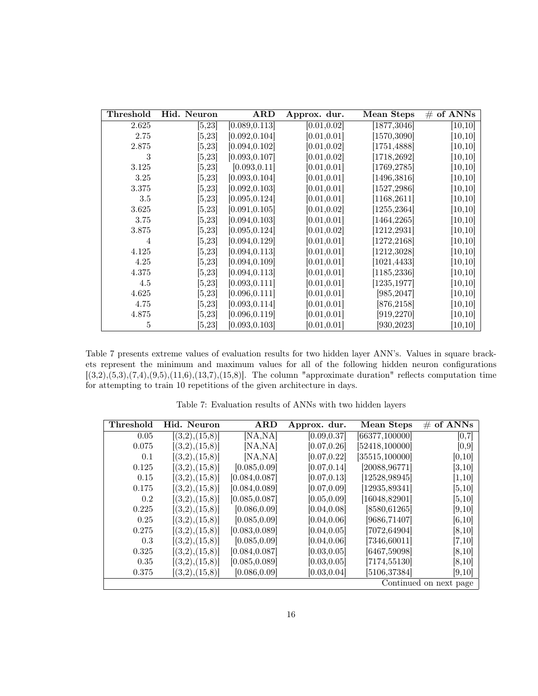| Threshold | Hid. Neuron | <b>ARD</b>     | Approx. dur. | Mean Steps   | $\#$ of ANNs |
|-----------|-------------|----------------|--------------|--------------|--------------|
| 2.625     | [5, 23]     | [0.089, 0.113] | [0.01, 0.02] | [1877, 3046] | [10, 10]     |
| 2.75      | [5, 23]     | [0.092, 0.104] | [0.01, 0.01] | [1570, 3090] | [10, 10]     |
| 2.875     | [5, 23]     | [0.094, 0.102] | [0.01, 0.02] | [1751, 4888] | [10, 10]     |
| 3         | [5, 23]     | [0.093, 0.107] | [0.01, 0.02] | [1718, 2692] | [10, 10]     |
| 3.125     | [5, 23]     | [0.093, 0.11]  | [0.01, 0.01] | [1769, 2785] | [10, 10]     |
| 3.25      | [5, 23]     | [0.093, 0.104] | [0.01, 0.01] | [1496, 3816] | [10, 10]     |
| 3.375     | [5, 23]     | [0.092, 0.103] | [0.01, 0.01] | [1527, 2986] | [10, 10]     |
| $3.5\,$   | [5, 23]     | [0.095, 0.124] | [0.01, 0.01] | [1168, 2611] | [10, 10]     |
| 3.625     | [5, 23]     | [0.091, 0.105] | [0.01, 0.02] | [1255, 2364] | [10, 10]     |
| 3.75      | [5, 23]     | [0.094, 0.103] | [0.01, 0.01] | [1464, 2265] | [10, 10]     |
| 3.875     | [5, 23]     | [0.095, 0.124] | [0.01, 0.02] | [1212, 2931] | [10, 10]     |
| 4         | [5,23]      | [0.094, 0.129] | [0.01, 0.01] | [1272, 2168] | [10, 10]     |
| 4.125     | 5,23        | [0.094, 0.113] | [0.01, 0.01] | [1212, 3028] | [10, 10]     |
| 4.25      | [5, 23]     | [0.094, 0.109] | [0.01, 0.01] | [1021, 4433] | [10, 10]     |
| 4.375     | [5, 23]     | [0.094, 0.113] | [0.01, 0.01] | [1185, 2336] | [10, 10]     |
| 4.5       | [5,23]      | [0.093, 0.111] | [0.01, 0.01] | [1235, 1977] | [10, 10]     |
| 4.625     | [5, 23]     | [0.096, 0.111] | [0.01, 0.01] | [985, 2047]  | [10, 10]     |
| 4.75      | [5, 23]     | [0.093, 0.114] | [0.01, 0.01] | [876, 2158]  | [10, 10]     |
| 4.875     | [5, 23]     | [0.096, 0.119] | [0.01, 0.01] | [919, 2270]  | [10, 10]     |
| 5         | [5,23]      | [0.093, 0.103] | [0.01, 0.01] | [930, 2023]  | [10, 10]     |

Table 7 presents extreme values of evaluation results for two hidden layer ANN's. Values in square brackets represent the minimum and maximum values for all of the following hidden neuron configurations  $[(3,2),(5,3),(7,4),(9,5),(11,6),(13,7),(15,8)]$ . The column "approximate duration" reflects computation time for attempting to train 10 repetitions of the given architecture in days.

| Threshold | Hid. Neuron    | $\bf ARD$      | Approx. dur. | <b>Mean Steps</b> | of ANNs<br>#           |
|-----------|----------------|----------------|--------------|-------------------|------------------------|
| 0.05      | [(3,2),(15,8)] | [NA,NA]        | [0.09, 0.37] | [66377, 100000]   | [0,7]                  |
| 0.075     | [(3,2),(15,8)] | [NA, NA]       | [0.07, 0.26] | [52418, 100000]   | [0,9]                  |
| 0.1       | [(3,2),(15,8)] | [NA, NA]       | [0.07, 0.22] | [35515, 100000]   | [0,10]                 |
| 0.125     | [(3,2),(15,8)] | [0.085, 0.09]  | [0.07, 0.14] | [20088, 96771]    | [3, 10]                |
| 0.15      | [(3,2),(15,8)] | [0.084, 0.087] | [0.07, 0.13] | [12528, 98945]    | [1,10]                 |
| 0.175     | [(3,2),(15,8)] | [0.084, 0.089] | [0.07, 0.09] | [12935, 89341]    | [5, 10]                |
| 0.2       | [(3,2),(15,8)] | [0.085, 0.087] | [0.05, 0.09] | [16048, 82901]    | [5,10]                 |
| 0.225     | [(3,2),(15,8)] | [0.086, 0.09]  | [0.04, 0.08] | [8580, 61265]     | [9,10]                 |
| 0.25      | [(3,2),(15,8)] | [0.085, 0.09]  | [0.04, 0.06] | [9686, 71407]     | [6, 10]                |
| 0.275     | [(3,2),(15,8)] | [0.083, 0.089] | [0.04, 0.05] | [7072, 64904]     | [8, 10]                |
| 0.3       | [(3,2),(15,8)] | [0.085, 0.09]  | [0.04, 0.06] | [7346, 60011]     | [7, 10]                |
| 0.325     | [(3,2),(15,8)] | [0.084, 0.087] | [0.03, 0.05] | [6467,59098]      | [8, 10]                |
| 0.35      | [(3,2),(15,8)] | [0.085, 0.089] | [0.03, 0.05] | [7174, 55130]     | [8,10]                 |
| 0.375     | [(3,2),(15,8)] | [0.086, 0.09]  | [0.03, 0.04] | [5106, 37384]     | [9,10]                 |
|           |                |                |              |                   | Continued on next page |

Table 7: Evaluation results of ANNs with two hidden layers